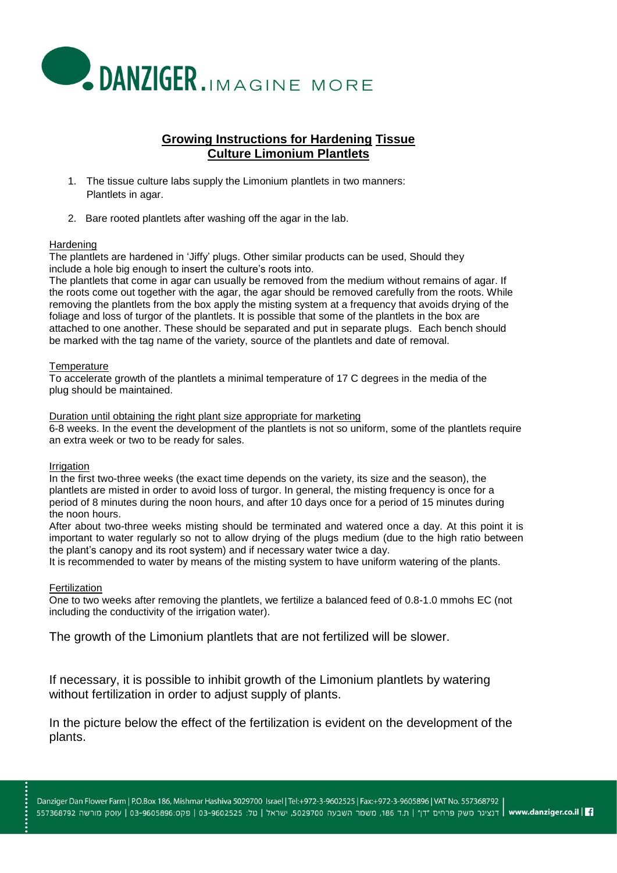

# **Growing Instructions for Hardening Tissue Culture Limonium Plantlets**

- 1. The tissue culture labs supply the Limonium plantlets in two manners: Plantlets in agar.
- 2. Bare rooted plantlets after washing off the agar in the lab.

### **Hardening**

The plantlets are hardened in 'Jiffy' plugs. Other similar products can be used, Should they include a hole big enough to insert the culture's roots into.

The plantlets that come in agar can usually be removed from the medium without remains of agar. If the roots come out together with the agar, the agar should be removed carefully from the roots. While removing the plantlets from the box apply the misting system at a frequency that avoids drying of the foliage and loss of turgor of the plantlets. It is possible that some of the plantlets in the box are attached to one another. These should be separated and put in separate plugs. Each bench should be marked with the tag name of the variety, source of the plantlets and date of removal.

### **Temperature**

To accelerate growth of the plantlets a minimal temperature of 17 C degrees in the media of the plug should be maintained.

Duration until obtaining the right plant size appropriate for marketing

6-8 weeks. In the event the development of the plantlets is not so uniform, some of the plantlets require an extra week or two to be ready for sales.

### Irrigation

In the first two-three weeks (the exact time depends on the variety, its size and the season), the plantlets are misted in order to avoid loss of turgor. In general, the misting frequency is once for a period of 8 minutes during the noon hours, and after 10 days once for a period of 15 minutes during the noon hours.

After about two-three weeks misting should be terminated and watered once a day. At this point it is important to water regularly so not to allow drying of the plugs medium (due to the high ratio between the plant's canopy and its root system) and if necessary water twice a day.

It is recommended to water by means of the misting system to have uniform watering of the plants.

# **Fertilization**

One to two weeks after removing the plantlets, we fertilize a balanced feed of 0.8-1.0 mmohs EC (not including the conductivity of the irrigation water).

The growth of the Limonium plantlets that are not fertilized will be slower.

If necessary, it is possible to inhibit growth of the Limonium plantlets by watering without fertilization in order to adjust supply of plants.

In the picture below the effect of the fertilization is evident on the development of the plants.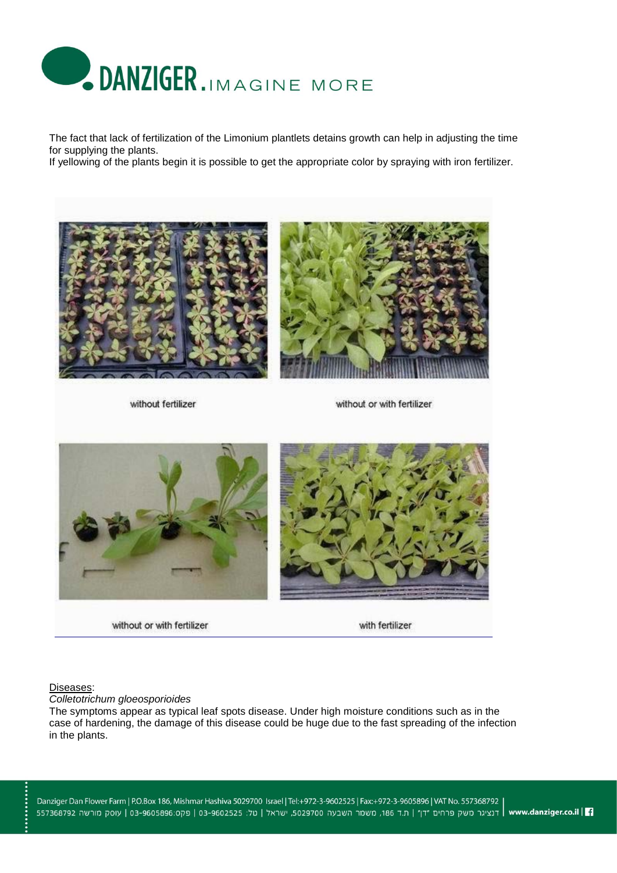

The fact that lack of fertilization of the Limonium plantlets detains growth can help in adjusting the time for supplying the plants.

If yellowing of the plants begin it is possible to get the appropriate color by spraying with iron fertilizer.



without fertilizer

without or with fertilizer



without or with fertilizer



#### Diseases:

*Colletotrichum gloeosporioides*

The symptoms appear as typical leaf spots disease. Under high moisture conditions such as in the case of hardening, the damage of this disease could be huge due to the fast spreading of the infection in the plants.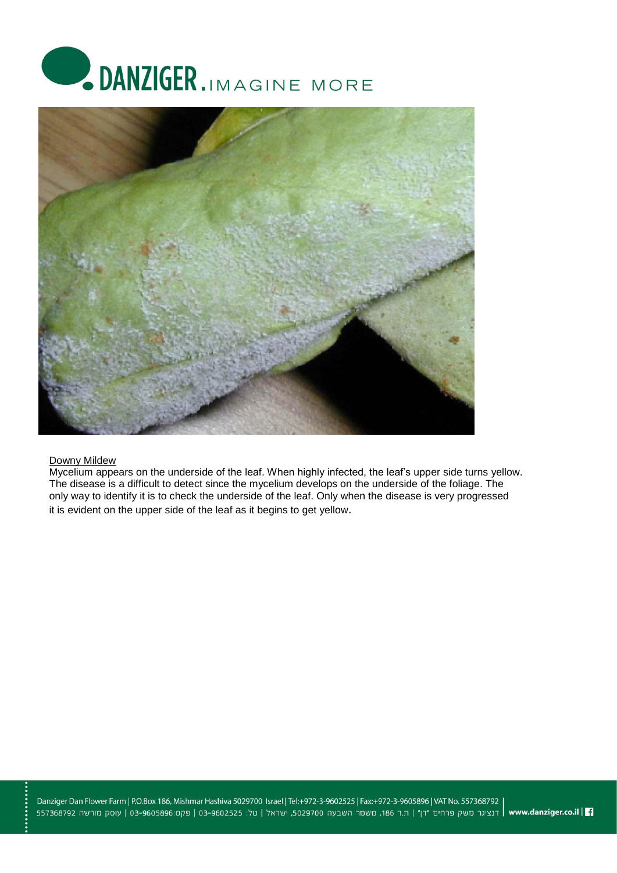



#### Downy Mildew

Mycelium appears on the underside of the leaf. When highly infected, the leaf's upper side turns yellow. The disease is a difficult to detect since the mycelium develops on the underside of the foliage. The only way to identify it is to check the underside of the leaf. Only when the disease is very progressed it is evident on the upper side of the leaf as it begins to get yellow.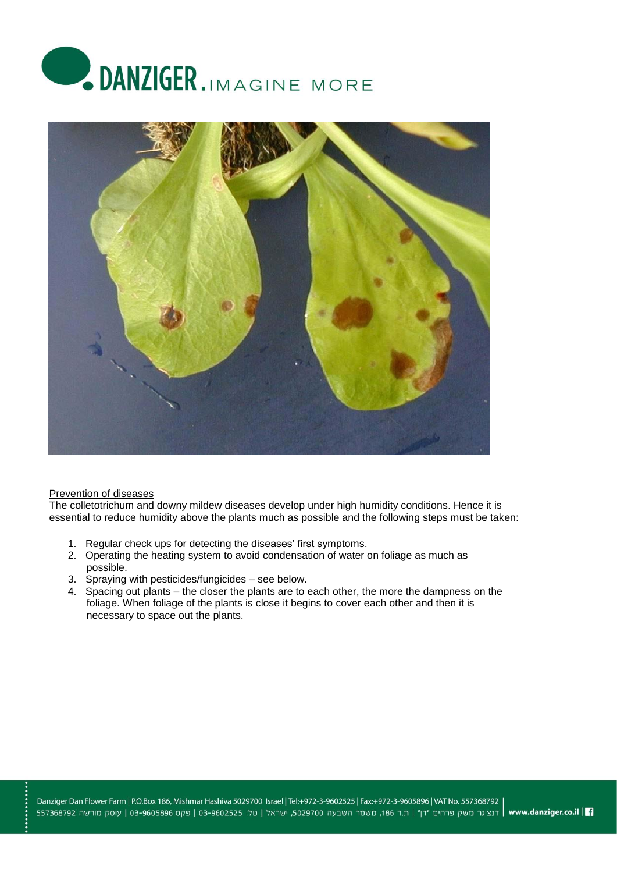



## Prevention of diseases

The colletotrichum and downy mildew diseases develop under high humidity conditions. Hence it is essential to reduce humidity above the plants much as possible and the following steps must be taken:

- 1. Regular check ups for detecting the diseases' first symptoms.
- 2. Operating the heating system to avoid condensation of water on foliage as much as possible.
- 3. Spraying with pesticides/fungicides see below.
- 4. Spacing out plants the closer the plants are to each other, the more the dampness on the foliage. When foliage of the plants is close it begins to cover each other and then it is necessary to space out the plants.